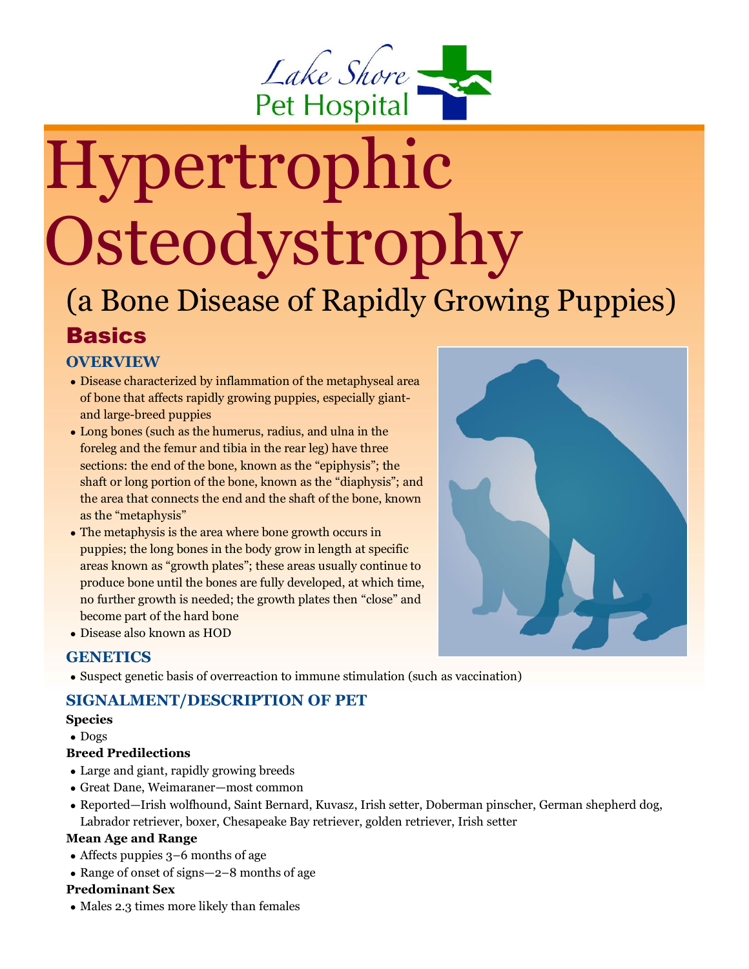

# Hypertrophic Osteodystrophy

# (a Bone Disease of Rapidly Growing Puppies) **Basics**

## **OVERVIEW**

- Disease characterized by inflammation of the metaphyseal area of bone that affects rapidly growing puppies, especially giantand large-breed puppies
- Long bones (such as the humerus, radius, and ulna in the foreleg and the femur and tibia in the rear leg) have three sections: the end of the bone, known as the "epiphysis"; the shaft or long portion of the bone, known as the "diaphysis"; and the area that connects the end and the shaft of the bone, known as the "metaphysis"
- The metaphysis is the area where bone growth occurs in puppies; the long bones in the body grow in length at specific areas known as "growth plates"; these areas usually continue to produce bone until the bones are fully developed, at which time, no further growth is needed; the growth plates then "close" and become part of the hard bone



### **GENETICS**

• Suspect genetic basis of overreaction to immune stimulation (such as vaccination)

### **SIGNALMENT/DESCRIPTION OF PET**

#### **Species**

• Dogs

#### **Breed Predilections**

- Large and giant, rapidly growing breeds
- Great Dane, Weimaraner—most common
- Reported—Irish wolfhound, Saint Bernard, Kuvasz, Irish setter, Doberman pinscher, German shepherd dog, Labrador retriever, boxer, Chesapeake Bay retriever, golden retriever, Irish setter

#### **Mean Age and Range**

- Affects puppies 3–6 months of age
- Range of onset of signs—2–8 months of age

#### **Predominant Sex**

• Males 2.3 times more likely than females

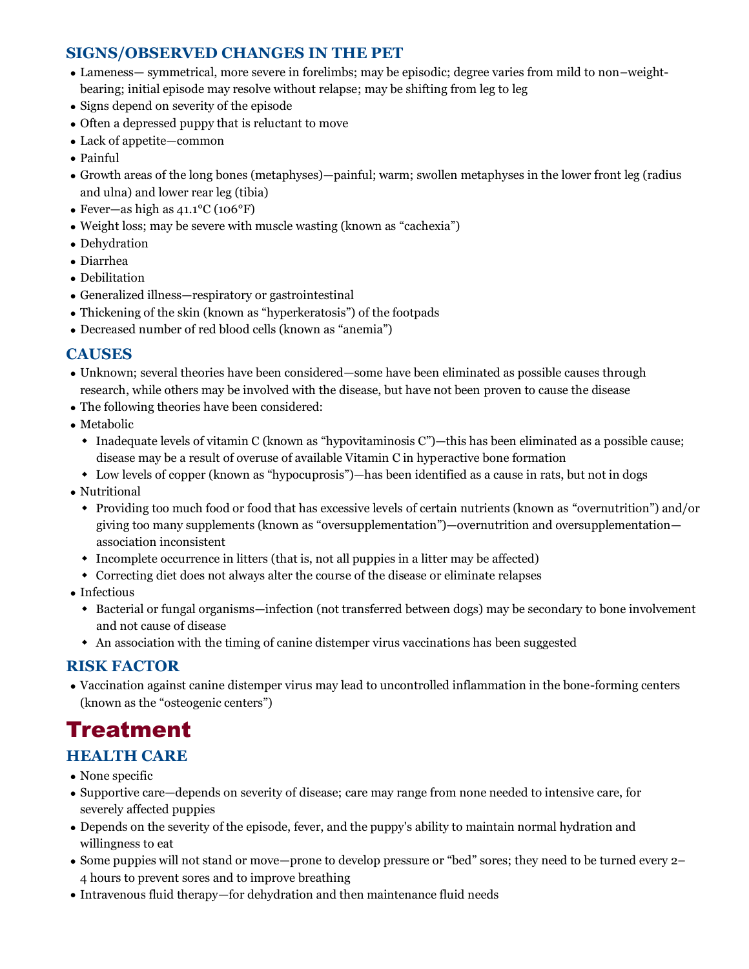## **SIGNS/OBSERVED CHANGES IN THE PET**

- Lameness— symmetrical, more severe in forelimbs; may be episodic; degree varies from mild to non–weightbearing; initial episode may resolve without relapse; may be shifting from leg to leg
- Signs depend on severity of the episode
- Often a depressed puppy that is reluctant to move
- Lack of appetite—common
- Painful
- Growth areas of the long bones (metaphyses)—painful; warm; swollen metaphyses in the lower front leg (radius and ulna) and lower rear leg (tibia)
- Fever—as high as 41.1°C (106°F)
- Weight loss; may be severe with muscle wasting (known as "cachexia")
- Dehydration
- Diarrhea
- Debilitation
- Generalized illness—respiratory or gastrointestinal
- Thickening of the skin (known as "hyperkeratosis") of the footpads
- Decreased number of red blood cells (known as "anemia")

## **CAUSES**

- Unknown; several theories have been considered—some have been eliminated as possible causes through research, while others may be involved with the disease, but have not been proven to cause the disease
- The following theories have been considered:
- Metabolic
	- Inadequate levels of vitamin C (known as "hypovitaminosis C")—this has been eliminated as a possible cause; disease may be a result of overuse of available Vitamin C in hyperactive bone formation
	- Low levels of copper (known as "hypocuprosis")—has been identified as a cause in rats, but not in dogs
- Nutritional
	- Providing too much food or food that has excessive levels of certain nutrients (known as "overnutrition") and/or giving too many supplements (known as "oversupplementation")—overnutrition and oversupplementation association inconsistent
	- Incomplete occurrence in litters (that is, not all puppies in a litter may be affected)
	- Correcting diet does not always alter the course of the disease or eliminate relapses
- Infectious
	- Bacterial or fungal organisms—infection (not transferred between dogs) may be secondary to bone involvement and not cause of disease
	- An association with the timing of canine distemper virus vaccinations has been suggested

## **RISK FACTOR**

• Vaccination against canine distemper virus may lead to uncontrolled inflammation in the bone-forming centers (known as the "osteogenic centers")

# Treatment

## **HEALTH CARE**

- None specific
- Supportive care—depends on severity of disease; care may range from none needed to intensive care, for severely affected puppies
- Depends on the severity of the episode, fever, and the puppy's ability to maintain normal hydration and willingness to eat
- Some puppies will not stand or move—prone to develop pressure or "bed" sores; they need to be turned every 2– 4 hours to prevent sores and to improve breathing
- Intravenous fluid therapy—for dehydration and then maintenance fluid needs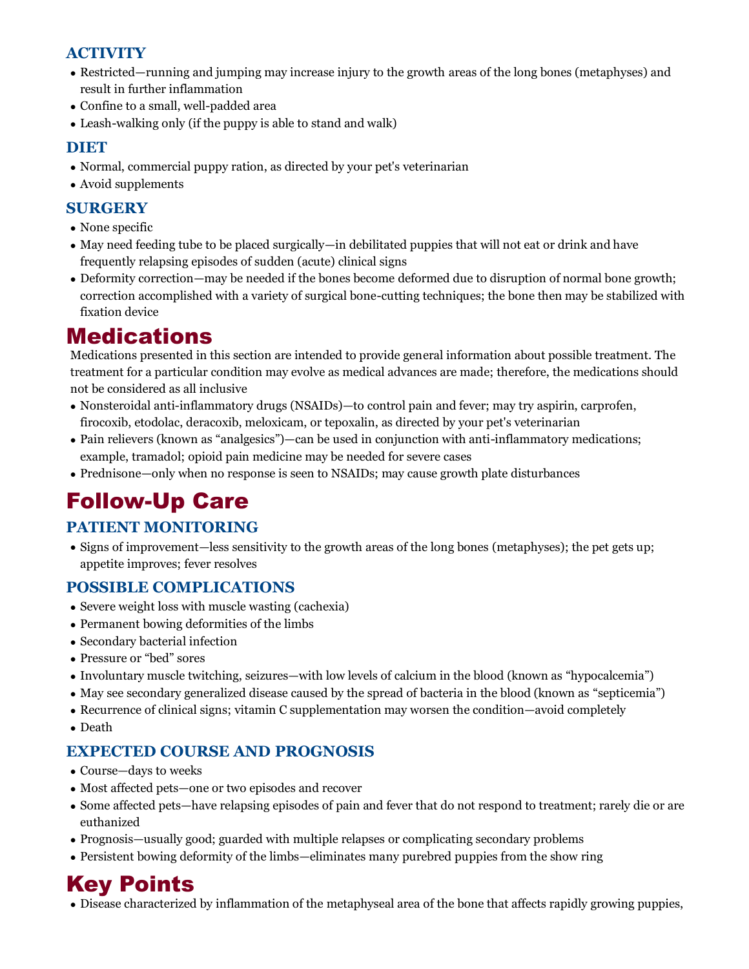## **ACTIVITY**

- Restricted—running and jumping may increase injury to the growth areas of the long bones (metaphyses) and result in further inflammation
- Confine to a small, well-padded area
- Leash-walking only (if the puppy is able to stand and walk)

## **DIET**

- Normal, commercial puppy ration, as directed by your pet's veterinarian
- Avoid supplements

## **SURGERY**

- None specific
- May need feeding tube to be placed surgically—in debilitated puppies that will not eat or drink and have frequently relapsing episodes of sudden (acute) clinical signs
- Deformity correction—may be needed if the bones become deformed due to disruption of normal bone growth; correction accomplished with a variety of surgical bone-cutting techniques; the bone then may be stabilized with fixation device

# Medications

Medications presented in this section are intended to provide general information about possible treatment. The treatment for a particular condition may evolve as medical advances are made; therefore, the medications should not be considered as all inclusive

- Nonsteroidal anti-inflammatory drugs (NSAIDs)—to control pain and fever; may try aspirin, carprofen, firocoxib, etodolac, deracoxib, meloxicam, or tepoxalin, as directed by your pet's veterinarian
- Pain relievers (known as "analgesics")—can be used in conjunction with anti-inflammatory medications; example, tramadol; opioid pain medicine may be needed for severe cases
- Prednisone—only when no response is seen to NSAIDs; may cause growth plate disturbances

# Follow-Up Care

## **PATIENT MONITORING**

• Signs of improvement—less sensitivity to the growth areas of the long bones (metaphyses); the pet gets up; appetite improves; fever resolves

## **POSSIBLE COMPLICATIONS**

- Severe weight loss with muscle wasting (cachexia)
- Permanent bowing deformities of the limbs
- Secondary bacterial infection
- Pressure or "bed" sores
- Involuntary muscle twitching, seizures—with low levels of calcium in the blood (known as "hypocalcemia")
- May see secondary generalized disease caused by the spread of bacteria in the blood (known as "septicemia")
- Recurrence of clinical signs; vitamin C supplementation may worsen the condition—avoid completely
- Death

## **EXPECTED COURSE AND PROGNOSIS**

- Course—days to weeks
- Most affected pets—one or two episodes and recover
- Some affected pets—have relapsing episodes of pain and fever that do not respond to treatment; rarely die or are euthanized
- Prognosis—usually good; guarded with multiple relapses or complicating secondary problems
- Persistent bowing deformity of the limbs—eliminates many purebred puppies from the show ring

# Key Points

• Disease characterized by inflammation of the metaphyseal area of the bone that affects rapidly growing puppies,